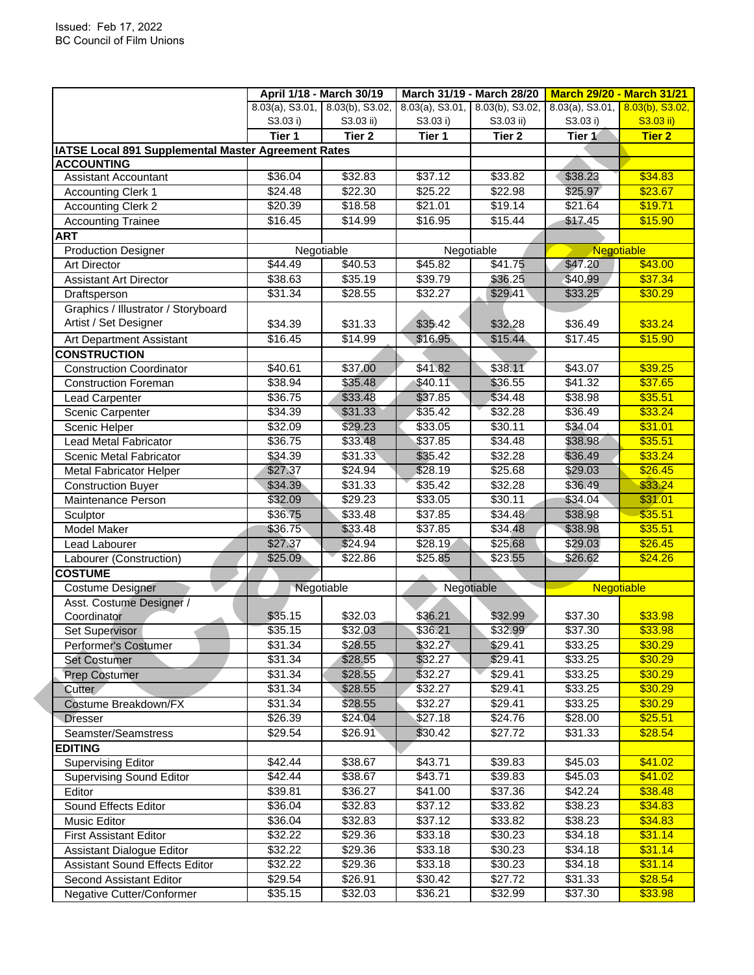|                                                     |          | April 1/18 - March 30/19        |          | March 31/19 - March 28/20          | <b>March 29/20 - March 31/21</b>   |                   |
|-----------------------------------------------------|----------|---------------------------------|----------|------------------------------------|------------------------------------|-------------------|
|                                                     |          | 8.03(a), S3.01, 8.03(b), S3.02, |          | $8.03(a)$ , S3.01, 8.03(b), S3.02, | 8.03(a), S3.01, $8.03(b)$ , S3.02, |                   |
|                                                     | S3.03 i) | S3.03 ii)                       | S3.03 i) | S3.03 ii)                          | S3.03 i)                           | S3.03 ii)         |
|                                                     | Tier 1   | Tier <sub>2</sub>               | Tier 1   | Tier 2                             | Tier 1                             | <b>Tier 2</b>     |
| IATSE Local 891 Supplemental Master Agreement Rates |          |                                 |          |                                    |                                    |                   |
| <b>ACCOUNTING</b>                                   |          |                                 |          |                                    |                                    |                   |
| <b>Assistant Accountant</b>                         | \$36.04  | \$32.83                         | \$37.12  | \$33.82                            | \$38.23                            | \$34.83           |
| <b>Accounting Clerk 1</b>                           | \$24.48  | \$22.30                         | \$25.22  | \$22.98                            | \$25.97                            | \$23.67           |
| <b>Accounting Clerk 2</b>                           | \$20.39  | \$18.58                         | \$21.01  | \$19.14                            | \$21.64                            | \$19.71           |
| <b>Accounting Trainee</b>                           | \$16.45  | $\sqrt{$14.99}$                 | \$16.95  | \$15.44                            | \$17.45                            | \$15.90           |
| ART                                                 |          |                                 |          |                                    |                                    |                   |
| <b>Production Designer</b>                          |          | Negotiable                      |          | Negotiable                         | Negotiable                         |                   |
| <b>Art Director</b>                                 | \$44.49  | \$40.53                         | \$45.82  | \$41.75                            | \$47.20                            | \$43.00           |
| <b>Assistant Art Director</b>                       | \$38.63  | \$35.19                         | \$39.79  | \$36.25                            | \$40.99                            | \$37.34           |
| Draftsperson                                        | \$31.34  | \$28.55                         | \$32.27  | \$29.41                            | \$33.25                            | \$30.29           |
| Graphics / Illustrator / Storyboard                 |          |                                 |          |                                    |                                    |                   |
| Artist / Set Designer                               | \$34.39  | \$31.33                         | \$35.42  | \$32.28                            | \$36.49                            | \$33.24           |
| Art Department Assistant                            | \$16.45  | \$14.99                         | \$16.95  | \$15.44                            | \$17.45                            | \$15.90           |
| <b>CONSTRUCTION</b>                                 |          |                                 |          |                                    |                                    |                   |
| <b>Construction Coordinator</b>                     | \$40.61  | \$37.00                         | \$41.82  | \$38.11                            | \$43.07                            | \$39.25           |
| <b>Construction Foreman</b>                         | \$38.94  | \$35.48                         | \$40.11  | \$36.55                            | \$41.32                            | \$37.65           |
| Lead Carpenter                                      | \$36.75  | \$33.48                         | \$37.85  | \$34.48                            | \$38.98                            | \$35.51           |
| Scenic Carpenter                                    | \$34.39  | \$31.33                         | \$35.42  | \$32.28                            | \$36.49                            | \$33.24           |
| Scenic Helper                                       | \$32.09  | \$29.23                         | \$33.05  | \$30.11                            | \$34.04                            | \$31.01           |
| Lead Metal Fabricator                               | \$36.75  | \$33.48                         | \$37.85  | \$34.48                            | \$38.98                            | \$35.51           |
| Scenic Metal Fabricator                             | \$34.39  | \$31.33                         | \$35.42  | \$32.28                            | \$36.49                            | \$33.24           |
| <b>Metal Fabricator Helper</b>                      | \$27.37  | \$24.94                         | \$28.19  | \$25.68                            | \$29.03                            | \$26.45           |
| <b>Construction Buyer</b>                           | \$34.39  | \$31.33                         | \$35.42  | \$32.28                            | \$36.49                            | \$33.24           |
| Maintenance Person                                  | \$32.09  | \$29.23                         | \$33.05  | \$30.11                            | \$34.04                            | \$31.01           |
| Sculptor                                            | \$36.75  | \$33.48                         | \$37.85  | \$34.48                            | \$38.98                            | \$35.51           |
| Model Maker                                         | \$36.75  | \$33.48                         | \$37.85  | \$34.48                            | \$38.98                            | \$35.51           |
| Lead Labourer                                       | \$27.37  | \$24.94                         | \$28.19  | \$25.68                            | \$29.03                            | \$26.45           |
| Labourer (Construction)                             | \$25.09  | \$22.86                         | \$25.85  | \$23.55                            | \$26.62                            | \$24.26           |
| <b>COSTUME</b>                                      |          |                                 |          |                                    |                                    |                   |
| <b>Costume Designer</b>                             |          | Negotiable                      |          | Negotiable                         |                                    | <b>Negotiable</b> |
| Asst. Costume Designer /                            |          |                                 |          |                                    |                                    |                   |
| Coordinator                                         | \$35.15  | \$32.03                         | \$36.21  | \$32.99                            | \$37.30                            | \$33.98           |
| Set Supervisor                                      | \$35.15  | \$32.03                         | \$36.21  | \$32.99                            | \$37.30                            | \$33.98           |
| Performer's Costumer                                | \$31.34  | \$28.55                         | \$32.27  | \$29.41                            | \$33.25                            | \$30.29           |
| Set Costumer                                        | \$31.34  | \$28.55                         | \$32.27  | \$29.41                            | \$33.25                            | \$30.29           |
| Prep Costumer                                       | \$31.34  | \$28.55                         | \$32.27  | \$29.41                            | \$33.25                            | \$30.29           |
| Cutter                                              | \$31.34  | \$28.55                         | \$32.27  | \$29.41                            | \$33.25                            | \$30.29           |
| Costume Breakdown/FX                                | \$31.34  | \$28.55                         | \$32.27  | \$29.41                            | \$33.25                            | \$30.29           |
| <b>Dresser</b>                                      | \$26.39  | \$24.04                         | \$27.18  | \$24.76                            | \$28.00                            | \$25.51           |
| Seamster/Seamstress                                 | \$29.54  | \$26.91                         | \$30.42  | \$27.72                            | \$31.33                            | \$28.54           |
| <b>EDITING</b>                                      |          |                                 |          |                                    |                                    |                   |
| <b>Supervising Editor</b>                           | \$42.44  | \$38.67                         | \$43.71  | \$39.83                            | \$45.03                            | \$41.02           |
| <b>Supervising Sound Editor</b>                     | \$42.44  | \$38.67                         | \$43.71  | \$39.83                            | \$45.03                            | \$41.02           |
| Editor                                              | \$39.81  | \$36.27                         | \$41.00  | \$37.36                            | \$42.24                            | \$38.48           |
| Sound Effects Editor                                | \$36.04  | \$32.83                         | \$37.12  | \$33.82                            | \$38.23                            | \$34.83           |
| Music Editor                                        | \$36.04  | \$32.83                         | \$37.12  | \$33.82                            | \$38.23                            | \$34.83           |
| <b>First Assistant Editor</b>                       | \$32.22  | \$29.36                         | \$33.18  | \$30.23                            | \$34.18                            | \$31.14           |
| Assistant Dialogue Editor                           | \$32.22  | \$29.36                         | \$33.18  | \$30.23                            | \$34.18                            | \$31.14           |
| <b>Assistant Sound Effects Editor</b>               | \$32.22  | \$29.36                         | \$33.18  | \$30.23                            | \$34.18                            | \$31.14           |
| Second Assistant Editor                             | \$29.54  | \$26.91                         | \$30.42  | \$27.72                            | \$31.33                            | \$28.54           |
| Negative Cutter/Conformer                           | \$35.15  | \$32.03                         | \$36.21  | \$32.99                            | \$37.30                            | \$33.98           |
|                                                     |          |                                 |          |                                    |                                    |                   |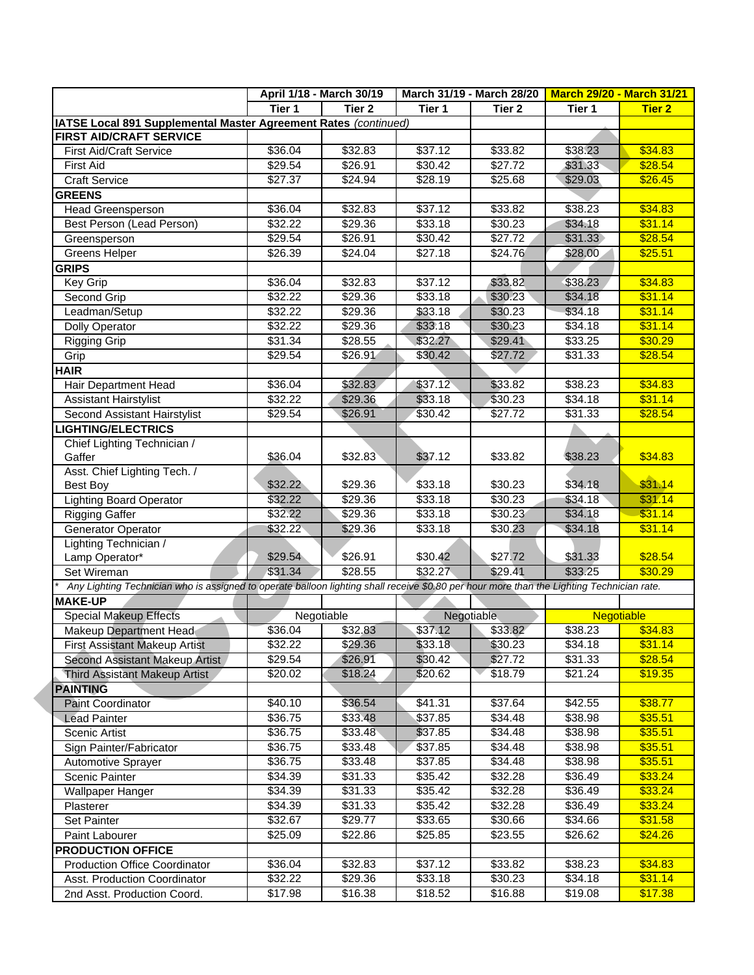|                                                                                                                                           |           | April 1/18 - March 30/19 |         | March 31/19 - March 28/20 | <b>March 29/20 - March 31/21</b> |                   |
|-------------------------------------------------------------------------------------------------------------------------------------------|-----------|--------------------------|---------|---------------------------|----------------------------------|-------------------|
|                                                                                                                                           | Tier 1    | Tier 2                   | Tier 1  | Tier 2                    | Tier 1                           | <b>Tier 2</b>     |
| IATSE Local 891 Supplemental Master Agreement Rates (continued)                                                                           |           |                          |         |                           |                                  |                   |
| <b>FIRST AID/CRAFT SERVICE</b>                                                                                                            |           |                          |         |                           |                                  |                   |
| <b>First Aid/Craft Service</b>                                                                                                            | \$36.04   | \$32.83                  | \$37.12 | \$33.82                   | \$38.23                          | \$34.83           |
| <b>First Aid</b>                                                                                                                          | \$29.54   | \$26.91                  | \$30.42 | \$27.72                   | \$31.33                          | \$28.54           |
| <b>Craft Service</b>                                                                                                                      | \$27.37   | \$24.94                  | \$28.19 | \$25.68                   | \$29.03                          | \$26.45           |
| <b>GREENS</b>                                                                                                                             |           |                          |         |                           |                                  |                   |
| <b>Head Greensperson</b>                                                                                                                  | \$36.04   | \$32.83                  | \$37.12 | \$33.82                   | \$38.23                          | \$34.83           |
| Best Person (Lead Person)                                                                                                                 | \$32.22   | \$29.36                  | \$33.18 | \$30.23                   | \$34.18                          | \$31.14           |
| Greensperson                                                                                                                              | \$29.54   | \$26.91                  | \$30.42 | \$27.72                   | \$31.33                          | \$28.54           |
| <b>Greens Helper</b>                                                                                                                      | \$26.39   | \$24.04                  | \$27.18 | \$24.76                   | \$28.00                          | \$25.51           |
| <b>GRIPS</b>                                                                                                                              |           |                          |         |                           |                                  |                   |
| Key Grip                                                                                                                                  | \$36.04   | \$32.83                  | \$37.12 | \$33.82                   | \$38.23                          | \$34.83           |
| Second Grip                                                                                                                               | \$32.22   | \$29.36                  | \$33.18 | \$30.23                   | \$34.18                          | \$31.14           |
| Leadman/Setup                                                                                                                             | \$32.22   | \$29.36                  | \$33.18 | \$30.23                   | \$34.18                          | \$31.14           |
| <b>Dolly Operator</b>                                                                                                                     | \$32.22   | \$29.36                  | \$33.18 | \$30.23                   | \$34.18                          | \$31.14           |
| Rigging Grip                                                                                                                              | \$31.34   | \$28.55                  | \$32.27 | \$29.41                   | \$33.25                          | \$30.29           |
| Grip                                                                                                                                      | \$29.54   | \$26.91                  | \$30.42 | \$27.72                   | \$31.33                          | \$28.54           |
| <b>HAIR</b>                                                                                                                               |           |                          |         |                           |                                  |                   |
| Hair Department Head                                                                                                                      | \$36.04   | \$32.83                  | \$37.12 | \$33.82                   | \$38.23                          | \$34.83           |
| Assistant Hairstylist                                                                                                                     | \$32.22   | \$29.36                  | \$33.18 | \$30.23                   | \$34.18                          | \$31.14           |
| Second Assistant Hairstylist                                                                                                              | \$29.54   | \$26.91                  | \$30.42 | \$27.72                   | \$31.33                          | \$28.54           |
| <b>LIGHTING/ELECTRICS</b>                                                                                                                 |           |                          |         |                           |                                  |                   |
| Chief Lighting Technician /                                                                                                               |           |                          |         |                           |                                  |                   |
| Gaffer                                                                                                                                    | \$36.04   | \$32.83                  | \$37.12 | \$33.82                   | \$38.23                          | \$34.83           |
| Asst. Chief Lighting Tech. /                                                                                                              |           |                          |         |                           |                                  |                   |
| <b>Best Boy</b>                                                                                                                           | \$32.22   | \$29.36                  | \$33.18 | \$30.23                   | \$34.18                          | \$31.14           |
| <b>Lighting Board Operator</b>                                                                                                            | \$32.22   | \$29.36                  | \$33.18 | \$30.23                   | \$34.18                          | \$31.14           |
| <b>Rigging Gaffer</b>                                                                                                                     | \$32.22   | \$29.36                  | \$33.18 | \$30.23                   | \$34.18                          | \$31.14           |
| Generator Operator                                                                                                                        | \$32.22\$ | \$29.36                  | \$33.18 | \$30.23                   | \$34.18                          | \$31.14           |
| Lighting Technician /                                                                                                                     |           |                          |         |                           |                                  |                   |
| Lamp Operator*                                                                                                                            | \$29.54   | \$26.91                  | \$30.42 | \$27.72                   | \$31.33                          | \$28.54           |
| Set Wireman                                                                                                                               | \$31.34   | \$28.55                  | \$32.27 | \$29.41                   | \$33.25                          | \$30.29           |
| Any Lighting Technician who is assigned to operate balloon lighting shall receive \$0.80 per hour more than the Lighting Technician rate. |           |                          |         |                           |                                  |                   |
| <b>MAKE-UP</b>                                                                                                                            |           |                          |         |                           |                                  |                   |
| <b>Special Makeup Effects</b>                                                                                                             |           | Negotiable               |         | Negotiable                |                                  | <b>Negotiable</b> |
| Makeup Department Head                                                                                                                    | \$36.04   | \$32.83                  | \$37.12 | \$33.82                   | \$38.23                          | \$34.83           |
| <b>First Assistant Makeup Artist</b>                                                                                                      | \$32.22   | \$29.36                  | \$33.18 | \$30.23                   | \$34.18                          | \$31.14           |
| Second Assistant Makeup Artist                                                                                                            | \$29.54   | \$26.91                  | \$30.42 | \$27.72                   | \$31.33                          | \$28.54           |
| Third Assistant Makeup Artist                                                                                                             | \$20.02   | \$18.24                  | \$20.62 | \$18.79                   | \$21.24                          | \$19.35           |
| <b>PAINTING</b>                                                                                                                           |           |                          |         |                           |                                  |                   |
| <b>Paint Coordinator</b>                                                                                                                  | \$40.10   | \$36.54                  | \$41.31 | \$37.64                   | \$42.55                          | \$38.77           |
| <b>Lead Painter</b>                                                                                                                       | \$36.75   | \$33.48                  | \$37.85 | \$34.48                   | \$38.98                          | \$35.51           |
| Scenic Artist                                                                                                                             | \$36.75   | \$33.48                  | \$37.85 | \$34.48                   | \$38.98                          | \$35.51           |
| Sign Painter/Fabricator                                                                                                                   | \$36.75   | \$33.48                  | \$37.85 | \$34.48                   | \$38.98                          | \$35.51           |
| Automotive Sprayer                                                                                                                        | \$36.75   | \$33.48                  | \$37.85 | \$34.48                   | \$38.98                          | \$35.51           |
| <b>Scenic Painter</b>                                                                                                                     | \$34.39   | \$31.33                  | \$35.42 | \$32.28                   | \$36.49                          | \$33.24           |
| Wallpaper Hanger                                                                                                                          | \$34.39   | \$31.33                  | \$35.42 | \$32.28                   | \$36.49                          | \$33.24           |
| Plasterer                                                                                                                                 | \$34.39   | \$31.33                  | \$35.42 | \$32.28                   | \$36.49                          | \$33.24           |
| Set Painter                                                                                                                               | \$32.67   | \$29.77                  | \$33.65 | \$30.66                   | \$34.66                          | \$31.58           |
| Paint Labourer                                                                                                                            | \$25.09   | \$22.86                  | \$25.85 | \$23.55                   | \$26.62                          | \$24.26           |
|                                                                                                                                           |           |                          |         |                           |                                  |                   |
| <b>PRODUCTION OFFICE</b>                                                                                                                  |           |                          |         |                           | \$38.23                          | \$34.83           |
| <b>Production Office Coordinator</b>                                                                                                      | \$36.04   | \$32.83                  | \$37.12 | \$33.82                   |                                  |                   |
| Asst. Production Coordinator                                                                                                              | \$32.22   | \$29.36                  | \$33.18 | \$30.23                   | \$34.18                          | \$31.14           |
| 2nd Asst. Production Coord.                                                                                                               | \$17.98   | \$16.38                  | \$18.52 | \$16.88                   | \$19.08                          | \$17.38           |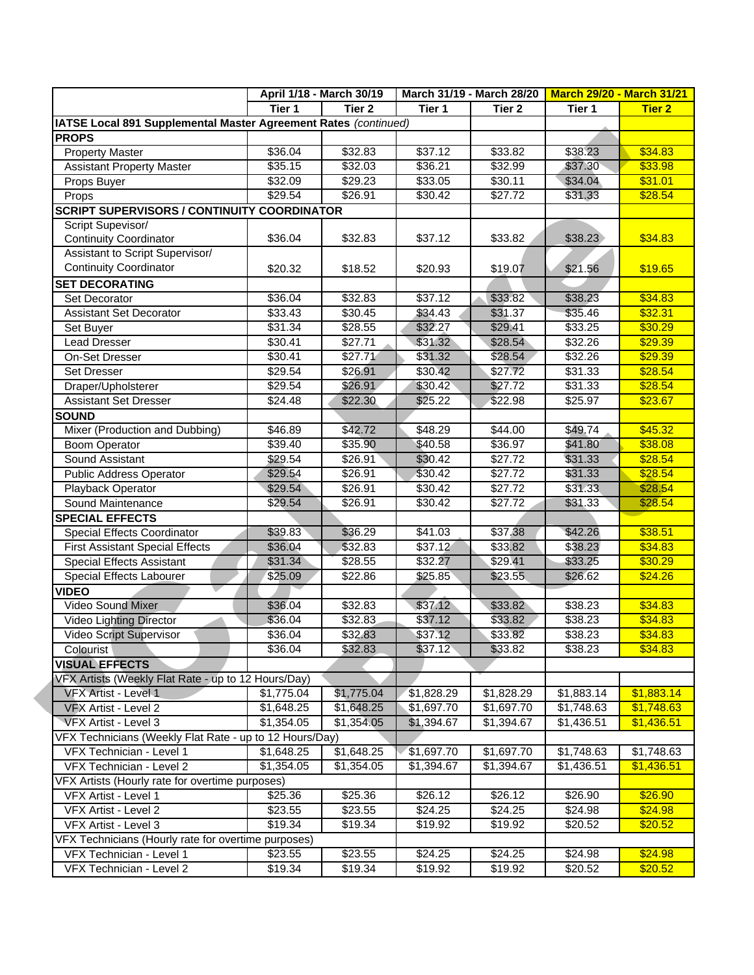|                                                                 |                    | April 1/18 - March 30/19 |                    | March 31/19 - March 28/20 | <b>March 29/20 - March 31/21</b> |               |
|-----------------------------------------------------------------|--------------------|--------------------------|--------------------|---------------------------|----------------------------------|---------------|
|                                                                 | Tier 1             | Tier 2                   | Tier 1             | Tier <sub>2</sub>         | Tier 1                           | <b>Tier 2</b> |
| IATSE Local 891 Supplemental Master Agreement Rates (continued) |                    |                          |                    |                           |                                  |               |
| <b>PROPS</b>                                                    |                    |                          |                    |                           |                                  |               |
| <b>Property Master</b>                                          | \$36.04            | \$32.83                  | \$37.12            | \$33.82                   | \$38.23                          | \$34.83       |
| <b>Assistant Property Master</b>                                | \$35.15            | \$32.03                  | \$36.21            | \$32.99                   | \$37.30                          | \$33.98       |
| Props Buyer                                                     | \$32.09            | \$29.23                  | \$33.05            | \$30.11                   | \$34.04                          | \$31.01       |
| Props                                                           | \$29.54            | \$26.91                  | \$30.42            | \$27.72                   | \$31.33                          | \$28.54       |
| <b>SCRIPT SUPERVISORS / CONTINUITY COORDINATOR</b>              |                    |                          |                    |                           |                                  |               |
| Script Supevisor/                                               |                    |                          |                    |                           |                                  |               |
| <b>Continuity Coordinator</b>                                   | \$36.04            | \$32.83                  | \$37.12            | \$33.82                   | \$38.23                          | \$34.83       |
| Assistant to Script Supervisor/                                 |                    |                          |                    |                           |                                  |               |
| <b>Continuity Coordinator</b>                                   | \$20.32            | \$18.52                  | \$20.93            | \$19.07                   | \$21.56                          | \$19.65       |
| <b>SET DECORATING</b>                                           |                    |                          |                    |                           |                                  |               |
| Set Decorator                                                   | \$36.04            | \$32.83                  | \$37.12            | \$33.82                   | \$38.23                          | \$34.83       |
| <b>Assistant Set Decorator</b>                                  | \$33.43            | \$30.45                  | \$34.43            | \$31.37                   | \$35.46                          | \$32.31       |
| Set Buyer                                                       | \$31.34            | \$28.55                  | \$32.27            | \$29.41                   | \$33.25                          | \$30.29       |
| <b>Lead Dresser</b>                                             | \$30.41            | \$27.71                  | \$31.32            | \$28.54                   | \$32.26                          | \$29.39       |
| <b>On-Set Dresser</b>                                           | \$30.41            | \$27.71                  | \$31.32            | \$28.54                   | \$32.26                          | \$29.39       |
| Set Dresser                                                     | \$29.54            | \$26.91                  | \$30.42            | \$27.72                   | \$31.33                          | \$28.54       |
| Draper/Upholsterer                                              | \$29.54            | \$26.91                  | \$30.42            | \$27.72                   | \$31.33                          | \$28.54       |
| <b>Assistant Set Dresser</b>                                    | \$24.48            | \$22.30                  | \$25.22            | \$22.98                   | \$25.97                          | \$23.67       |
| <b>SOUND</b>                                                    |                    |                          |                    |                           |                                  |               |
| Mixer (Production and Dubbing)                                  | \$46.89            | \$42.72                  | \$48.29            | \$44.00                   | \$49.74                          | \$45.32       |
| <b>Boom Operator</b>                                            | \$39.40            | \$35.90                  | \$40.58            | \$36.97                   | \$41.80                          | \$38.08       |
| Sound Assistant                                                 | \$29.54            | \$26.91                  | \$30.42            | $\sqrt{$27.72}$           | \$31.33                          | \$28.54       |
| <b>Public Address Operator</b>                                  | \$29.54            | \$26.91                  | \$30.42            | \$27.72                   | \$31.33                          | \$28.54       |
| Playback Operator                                               | \$29.54            | \$26.91                  | \$30.42            | \$27.72                   | \$31.33                          | \$28.54       |
| Sound Maintenance                                               | \$29.54            | \$26.91                  | \$30.42            | \$27.72                   | \$31.33                          | \$28.54       |
| <b>SPECIAL EFFECTS</b>                                          |                    |                          |                    |                           |                                  |               |
| Special Effects Coordinator                                     | \$39.83            | \$36.29                  | \$41.03            | \$37.38                   | \$42.26                          | \$38.51       |
| <b>First Assistant Special Effects</b>                          | \$36.04            | \$32.83                  | \$37.12            | \$33.82                   | \$38.23                          | \$34.83       |
| Special Effects Assistant                                       | \$31.34            | \$28.55                  | \$32.27            | \$29.41                   | \$33.25                          | \$30.29       |
|                                                                 | \$25.09            | \$22.86                  | \$25.85            | \$23.55                   | \$26.62                          | \$24.26       |
| Special Effects Labourer<br><b>VIDEO</b>                        |                    |                          |                    |                           |                                  |               |
| Video Sound Mixer                                               | \$36.04            | \$32.83                  | \$37.12            | \$33.82                   | \$38.23                          | \$34.83       |
|                                                                 | \$36.04            | \$32.83                  | \$37.12            | \$33.82                   | \$38.23                          | \$34.83       |
| Video Lighting Director                                         |                    |                          |                    | \$33.82                   |                                  | \$34.83       |
| Video Script Supervisor                                         | \$36.04<br>\$36.04 | \$32.83<br>\$32.83       | \$37.12<br>\$37.12 |                           | \$38.23<br>\$38.23               | \$34.83       |
| Colourist                                                       |                    |                          |                    | \$33.82                   |                                  |               |
| <b>VISUAL EFFECTS</b>                                           |                    |                          |                    |                           |                                  |               |
| VFX Artists (Weekly Flat Rate - up to 12 Hours/Day)             |                    |                          |                    |                           |                                  |               |
| <b>VFX Artist - Level 1</b>                                     | \$1,775.04         | \$1,775.04               | \$1,828.29         | \$1,828.29                | \$1,883.14                       | \$1,883.14    |
| VFX Artist - Level 2                                            | \$1,648.25         | \$1,648.25               | \$1,697.70         | \$1,697.70                | \$1,748.63                       | \$1,748.63    |
| VFX Artist - Level 3                                            | \$1,354.05         | \$1,354.05               | \$1,394.67         | \$1,394.67                | \$1,436.51                       | \$1,436.51    |
| VFX Technicians (Weekly Flat Rate - up to 12 Hours/Day)         |                    |                          |                    |                           |                                  |               |
| VFX Technician - Level 1                                        | \$1,648.25         | \$1,648.25               | \$1,697.70         | \$1,697.70                | \$1,748.63                       | \$1,748.63    |
| VFX Technician - Level 2                                        | \$1,354.05         | \$1,354.05               | \$1,394.67         | \$1,394.67                | \$1,436.51                       | \$1,436.51    |
| VFX Artists (Hourly rate for overtime purposes)                 |                    |                          |                    |                           |                                  |               |
| VFX Artist - Level 1                                            | \$25.36            | \$25.36                  | \$26.12            | \$26.12                   | \$26.90                          | \$26.90       |
| VFX Artist - Level 2                                            | \$23.55            | \$23.55                  | \$24.25            | \$24.25                   | \$24.98                          | \$24.98       |
| VFX Artist - Level 3                                            | \$19.34            | \$19.34                  | \$19.92            | \$19.92                   | \$20.52                          | \$20.52       |
| VFX Technicians (Hourly rate for overtime purposes)             |                    |                          |                    |                           |                                  |               |
| VFX Technician - Level 1                                        | \$23.55            | \$23.55                  | \$24.25            | \$24.25                   | \$24.98                          | \$24.98       |
| VFX Technician - Level 2                                        | \$19.34            | \$19.34                  | \$19.92            | \$19.92                   | \$20.52                          | \$20.52       |